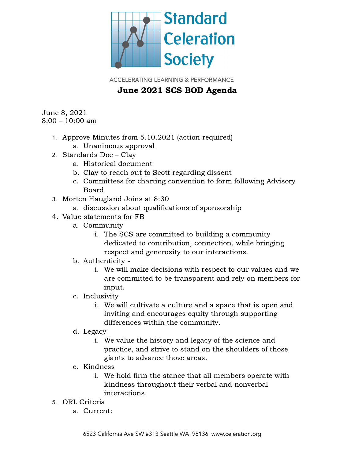

**ACCELERATING LEARNING & PERFORMANCE** 

## June 2021 SCS BOD Agenda

June 8, 2021 8:00 – 10:00 am

- 1. Approve Minutes from 5.10.2021 (action required)
	- a. Unanimous approval
- 2. Standards Doc Clay
	- a. Historical document
	- b. Clay to reach out to Scott regarding dissent
	- c. Committees for charting convention to form following Advisory Board
- 3. Morten Haugland Joins at 8:30
	- a. discussion about qualifications of sponsorship
- 4. Value statements for FB
	- a. Community
		- i. The SCS are committed to building a community dedicated to contribution, connection, while bringing respect and generosity to our interactions.
	- b. Authenticity
		- i. We will make decisions with respect to our values and we are committed to be transparent and rely on members for input.
	- c. Inclusivity
		- i. We will cultivate a culture and a space that is open and inviting and encourages equity through supporting differences within the community.
	- d. Legacy
		- i. We value the history and legacy of the science and practice, and strive to stand on the shoulders of those giants to advance those areas.
	- e. Kindness
		- i. We hold firm the stance that all members operate with kindness throughout their verbal and nonverbal interactions.
- 5. ORL Criteria
	- a. Current: